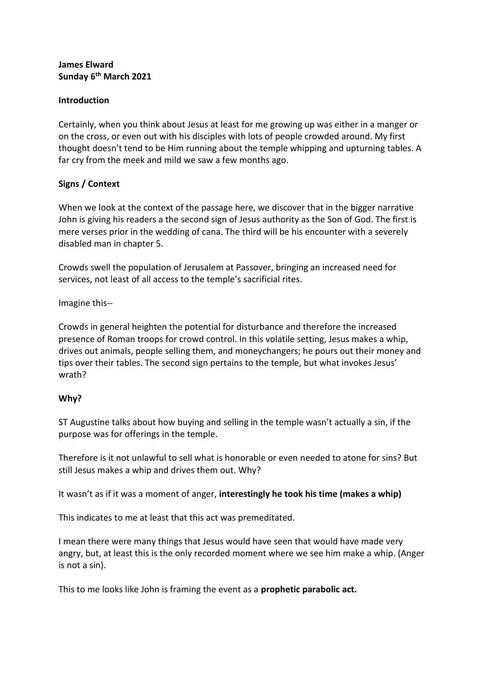#### **James Elward Sunday 6th March 2021**

### **Introduction**

Certainly, when you think about Jesus at least for me growing up was either in a manger or on the cross, or even out with his disciples with lots of people crowded around. My first thought doesn't tend to be Him running about the temple whipping and upturning tables. A far cry from the meek and mild we saw a few months ago.

# **Signs / Context**

When we look at the context of the passage here, we discover that in the bigger narrative John is giving his readers a the second sign of Jesus authority as the Son of God. The first is mere verses prior in the wedding of cana. The third will be his encounter with a severely disabled man in chapter 5.

Crowds swell the population of Jerusalem at Passover, bringing an increased need for services, not least of all access to the temple's sacrificial rites.

Imagine this--

Crowds in general heighten the potential for disturbance and therefore the increased presence of Roman troops for crowd control. In this volatile setting, Jesus makes a whip, drives out animals, people selling them, and moneychangers; he pours out their money and tips over their tables. The second sign pertains to the temple, but what invokes Jesus' wrath?

### **Why?**

ST Augustine talks about how buying and selling in the temple wasn't actually a sin, if the purpose was for offerings in the temple.

Therefore is it not unlawful to sell what is honorable or even needed to atone for sins? But still Jesus makes a whip and drives them out. Why?

It wasn't as if it was a moment of anger, **interestingly he took his time (makes a whip)**

This indicates to me at least that this act was premeditated.

I mean there were many things that Jesus would have seen that would have made very angry, but, at least this is the only recorded moment where we see him make a whip. (Anger is not a sin).

This to me looks like John is framing the event as a **prophetic parabolic act.**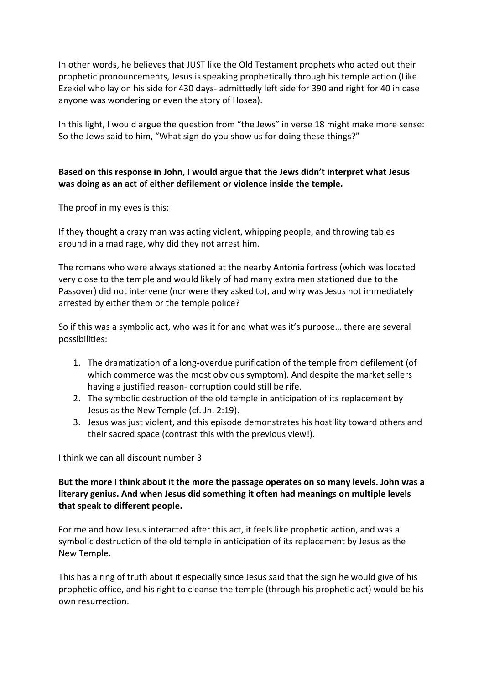In other words, he believes that JUST like the Old Testament prophets who acted out their prophetic pronouncements, Jesus is speaking prophetically through his temple action (Like Ezekiel who lay on his side for 430 days- admittedly left side for 390 and right for 40 in case anyone was wondering or even the story of Hosea).

In this light, I would argue the question from "the Jews" in verse 18 might make more sense: So the Jews said to him, "What sign do you show us for doing these things?"

# **Based on this response in John, I would argue that the Jews didn't interpret what Jesus was doing as an act of either defilement or violence inside the temple.**

The proof in my eyes is this:

If they thought a crazy man was acting violent, whipping people, and throwing tables around in a mad rage, why did they not arrest him.

The romans who were always stationed at the nearby Antonia fortress (which was located very close to the temple and would likely of had many extra men stationed due to the Passover) did not intervene (nor were they asked to), and why was Jesus not immediately arrested by either them or the temple police?

So if this was a symbolic act, who was it for and what was it's purpose… there are several possibilities:

- 1. The dramatization of a long-overdue purification of the temple from defilement (of which commerce was the most obvious symptom). And despite the market sellers having a justified reason- corruption could still be rife.
- 2. The symbolic destruction of the old temple in anticipation of its replacement by Jesus as the New Temple (cf. Jn. 2:19).
- 3. Jesus was just violent, and this episode demonstrates his hostility toward others and their sacred space (contrast this with the previous view!).

I think we can all discount number 3

# **But the more I think about it the more the passage operates on so many levels. John was a literary genius. And when Jesus did something it often had meanings on multiple levels that speak to different people.**

For me and how Jesus interacted after this act, it feels like prophetic action, and was a symbolic destruction of the old temple in anticipation of its replacement by Jesus as the New Temple.

This has a ring of truth about it especially since Jesus said that the sign he would give of his prophetic office, and his right to cleanse the temple (through his prophetic act) would be his own resurrection.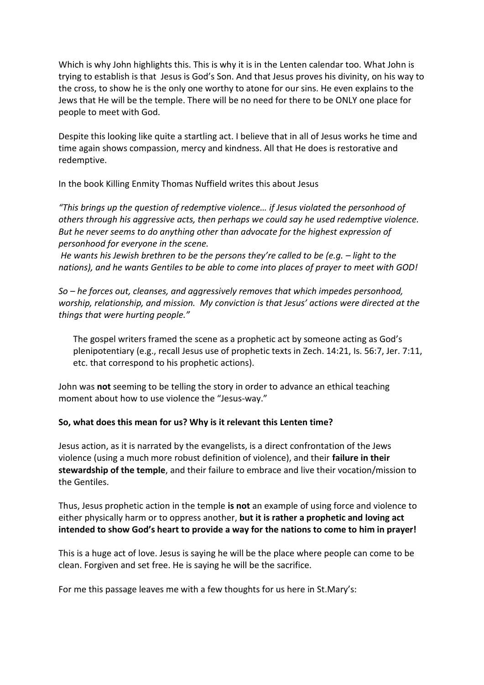Which is why John highlights this. This is why it is in the Lenten calendar too. What John is trying to establish is that Jesus is God's Son. And that Jesus proves his divinity, on his way to the cross, to show he is the only one worthy to atone for our sins. He even explains to the Jews that He will be the temple. There will be no need for there to be ONLY one place for people to meet with God.

Despite this looking like quite a startling act. I believe that in all of Jesus works he time and time again shows compassion, mercy and kindness. All that He does is restorative and redemptive.

In the book Killing Enmity Thomas Nuffield writes this about Jesus

*"This brings up the question of redemptive violence… if Jesus violated the personhood of others through his aggressive acts, then perhaps we could say he used redemptive violence. But he never seems to do anything other than advocate for the highest expression of personhood for everyone in the scene.* 

*He wants his Jewish brethren to be the persons they're called to be (e.g. – light to the nations), and he wants Gentiles to be able to come into places of prayer to meet with GOD!*

*So – he forces out, cleanses, and aggressively removes that which impedes personhood, worship, relationship, and mission. My conviction is that Jesus' actions were directed at the things that were hurting people."*

The gospel writers framed the scene as a prophetic act by someone acting as God's plenipotentiary (e.g., recall Jesus use of prophetic texts in Zech. 14:21, Is. 56:7, Jer. 7:11, etc. that correspond to his prophetic actions).

John was **not** seeming to be telling the story in order to advance an ethical teaching moment about how to use violence the "Jesus-way."

### **So, what does this mean for us? Why is it relevant this Lenten time?**

Jesus action, as it is narrated by the evangelists, is a direct confrontation of the Jews violence (using a much more robust definition of violence), and their **failure in their stewardship of the temple**, and their failure to embrace and live their vocation/mission to the Gentiles.

Thus, Jesus prophetic action in the temple **is not** an example of using force and violence to either physically harm or to oppress another, **but it is rather a prophetic and loving act intended to show God's heart to provide a way for the nations to come to him in prayer!** 

This is a huge act of love. Jesus is saying he will be the place where people can come to be clean. Forgiven and set free. He is saying he will be the sacrifice.

For me this passage leaves me with a few thoughts for us here in St.Mary's: